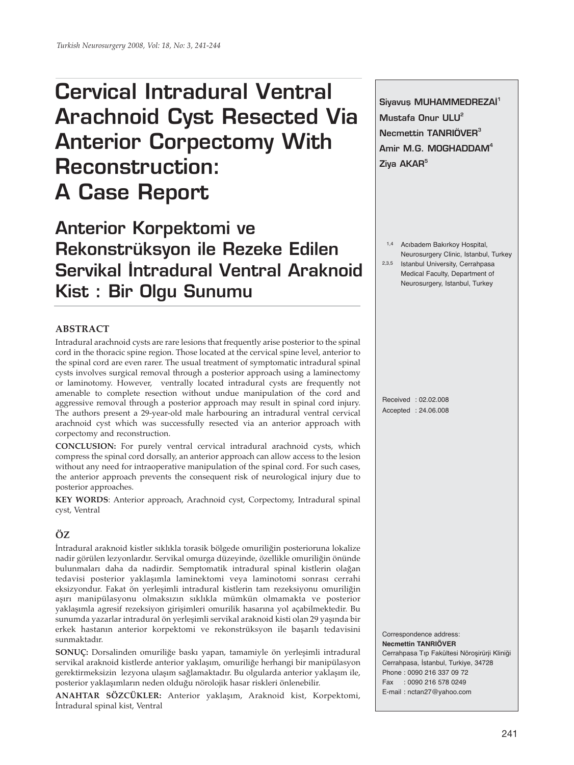# **Cervical Intradural Ventral Arachnoid Cyst Resected Via Anterior Corpectomy With Reconstruction: A Case Report**

**Anterior Korpektomi ve Rekonstrüksyon ile Rezeke Edilen Servikal Intradural Ventral Araknoid Kist : Bir Olgu Sunumu**

## **ABSTRACT**

Intradural arachnoid cysts are rare lesions that frequently arise posterior to the spinal cord in the thoracic spine region. Those located at the cervical spine level, anterior to the spinal cord are even rarer. The usual treatment of symptomatic intradural spinal cysts involves surgical removal through a posterior approach using a laminectomy or laminotomy. However, ventrally located intradural cysts are frequently not amenable to complete resection without undue manipulation of the cord and aggressive removal through a posterior approach may result in spinal cord injury. The authors present a 29-year-old male harbouring an intradural ventral cervical arachnoid cyst which was successfully resected via an anterior approach with corpectomy and reconstruction.

**CONCLUSION:** For purely ventral cervical intradural arachnoid cysts, which compress the spinal cord dorsally, an anterior approach can allow access to the lesion without any need for intraoperative manipulation of the spinal cord. For such cases, the anterior approach prevents the consequent risk of neurological injury due to posterior approaches.

**KEY WORDS**: Anterior approach, Arachnoid cyst, Corpectomy, Intradural spinal cyst, Ventral

# **ÖZ**

İntradural araknoid kistler sıklıkla torasik bölgede omuriliğin posterioruna lokalize nadir görülen lezyonlardır. Servikal omurga düzeyinde, özellikle omuriliğin önünde bulunmaları daha da nadirdir. Semptomatik intradural spinal kistlerin olağan tedavisi posterior yaklaşımla laminektomi veya laminotomi sonrası cerrahi eksizyondur. Fakat ön yerleşimli intradural kistlerin tam rezeksiyonu omuriliğin aşırı manipülasyonu olmaksızın sıklıkla mümkün olmamakta ve posterior yaklaşımla agresif rezeksiyon girişimleri omurilik hasarına yol açabilmektedir. Bu sunumda yazarlar intradural ön yerleşimli servikal araknoid kisti olan 29 yaşında bir erkek hastanın anterior korpektomi ve rekonstrüksyon ile başarılı tedavisini sunmaktadır.

**SONUÇ:** Dorsalinden omuriliğe baskı yapan, tamamiyle ön yerleşimli intradural servikal araknoid kistlerde anterior yaklaşım, omuriliğe herhangi bir manipülasyon gerektirmeksizin lezyona ulaşım sağlamaktadır. Bu olgularda anterior yaklaşım ile, posterior yaklaşımların neden olduğu nörolojik hasar riskleri önlenebilir.

**ANAHTAR SÖZCÜKLER:** Anterior yaklaşım, Araknoid kist, Korpektomi, İntradural spinal kist, Ventral

Siyavus MUHAMMEDREZAİ<sup>1</sup> **Mustafa Onur ULU<sup>2</sup> Necmettin TANRIÖVER<sup>3</sup> Amir M.G. MOGHADDAM<sup>4</sup> Ziya AKAR<sup>5</sup>**

1,4 Acıbadem Bakırkoy Hospital, Neurosurgery Clinic, Istanbul, Turkey 2,3,5 Istanbul University, Cerrahpasa Medical Faculty, Department of Neurosurgery, Istanbul, Turkey

Received : 02.02.008 Accepted : 24.06.008

**Necmettin TANRIÖVER** Cerrahpasa Tıp Fakültesi Nöroşirürji Kliniği Cerrahpasa, İstanbul, Turkiye, 34728 Phone : 0090 216 337 09 72 Fax : 0090 216 578 0249 E-mail : nctan27@yahoo.com

Correspondence address: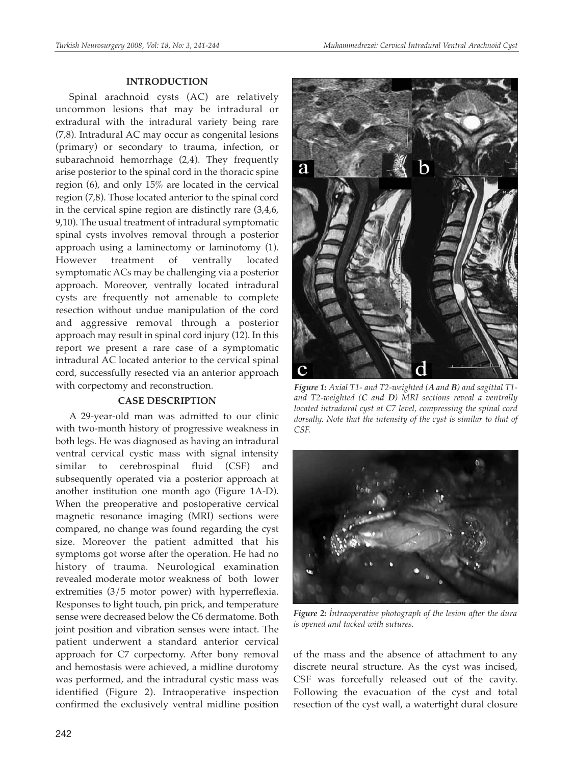#### **INTRODUCTION**

Spinal arachnoid cysts (AC) are relatively uncommon lesions that may be intradural or extradural with the intradural variety being rare (7,8). Intradural AC may occur as congenital lesions (primary) or secondary to trauma, infection, or subarachnoid hemorrhage (2,4). They frequently arise posterior to the spinal cord in the thoracic spine region (6), and only 15% are located in the cervical region (7,8). Those located anterior to the spinal cord in the cervical spine region are distinctly rare (3,4,6, 9,10). The usual treatment of intradural symptomatic spinal cysts involves removal through a posterior approach using a laminectomy or laminotomy (1). However treatment of ventrally located symptomatic ACs may be challenging via a posterior approach. Moreover, ventrally located intradural cysts are frequently not amenable to complete resection without undue manipulation of the cord and aggressive removal through a posterior approach may result in spinal cord injury (12). In this report we present a rare case of a symptomatic intradural AC located anterior to the cervical spinal cord, successfully resected via an anterior approach with corpectomy and reconstruction.

#### **CASE DESCRIPTION**

A 29-year-old man was admitted to our clinic with two-month history of progressive weakness in both legs. He was diagnosed as having an intradural ventral cervical cystic mass with signal intensity similar to cerebrospinal fluid (CSF) and subsequently operated via a posterior approach at another institution one month ago (Figure 1A-D). When the preoperative and postoperative cervical magnetic resonance imaging (MRI) sections were compared, no change was found regarding the cyst size. Moreover the patient admitted that his symptoms got worse after the operation. He had no history of trauma. Neurological examination revealed moderate motor weakness of both lower extremities (3/5 motor power) with hyperreflexia. Responses to light touch, pin prick, and temperature sense were decreased below the C6 dermatome. Both joint position and vibration senses were intact. The patient underwent a standard anterior cervical approach for C7 corpectomy. After bony removal and hemostasis were achieved, a midline durotomy was performed, and the intradural cystic mass was identified (Figure 2). Intraoperative inspection confirmed the exclusively ventral midline position



*Figure 1: Axial T1- and T2-weighted (A and B) and sagittal T1 and T2-weighted (C and D) MRI sections reveal a ventrally located intradural cyst at C7 level, compressing the spinal cord dorsally. Note that the intensity of the cyst is similar to that of CSF.*



*Figure 2: İntraoperative photograph of the lesion after the dura is opened and tacked with sutures.*

of the mass and the absence of attachment to any discrete neural structure. As the cyst was incised, CSF was forcefully released out of the cavity. Following the evacuation of the cyst and total resection of the cyst wall, a watertight dural closure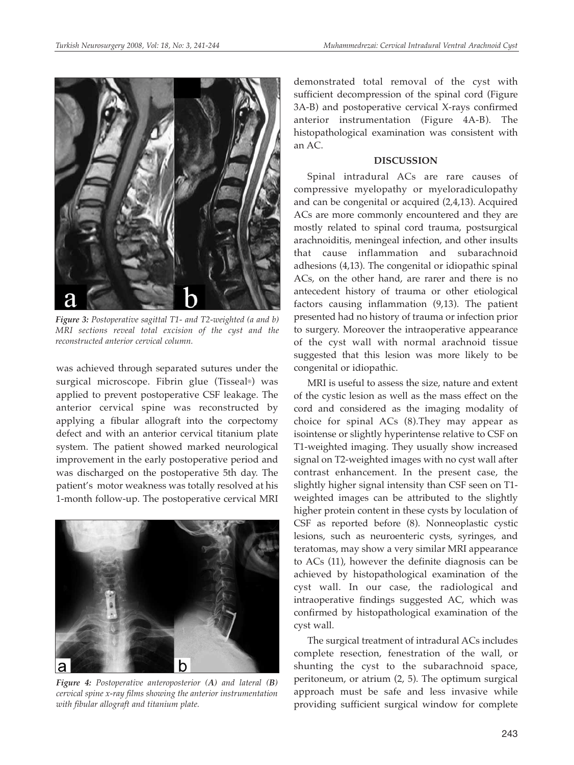

*Figure 3: Postoperative sagittal T1- and T2-weighted (a and b) MRI sections reveal total excision of the cyst and the reconstructed anterior cervical column.* 

was achieved through separated sutures under the surgical microscope. Fibrin glue (Tisseal®) was applied to prevent postoperative CSF leakage. The anterior cervical spine was reconstructed by applying a fibular allograft into the corpectomy defect and with an anterior cervical titanium plate system. The patient showed marked neurological improvement in the early postoperative period and was discharged on the postoperative 5th day. The patient's motor weakness was totally resolved at his 1-month follow-up. The postoperative cervical MRI



*Figure 4: Postoperative anteroposterior (A) and lateral (B) cervical spine x-ray films showing the anterior instrumentation with fibular allograft and titanium plate.*

demonstrated total removal of the cyst with sufficient decompression of the spinal cord (Figure 3A-B) and postoperative cervical X-rays confirmed anterior instrumentation (Figure 4A-B). The histopathological examination was consistent with an AC.

#### **DISCUSSION**

Spinal intradural ACs are rare causes of compressive myelopathy or myeloradiculopathy and can be congenital or acquired (2,4,13). Acquired ACs are more commonly encountered and they are mostly related to spinal cord trauma, postsurgical arachnoiditis, meningeal infection, and other insults that cause inflammation and subarachnoid adhesions (4,13). The congenital or idiopathic spinal ACs, on the other hand, are rarer and there is no antecedent history of trauma or other etiological factors causing inflammation (9,13). The patient presented had no history of trauma or infection prior to surgery. Moreover the intraoperative appearance of the cyst wall with normal arachnoid tissue suggested that this lesion was more likely to be congenital or idiopathic.

MRI is useful to assess the size, nature and extent of the cystic lesion as well as the mass effect on the cord and considered as the imaging modality of choice for spinal ACs (8).They may appear as isointense or slightly hyperintense relative to CSF on T1-weighted imaging. They usually show increased signal on T2-weighted images with no cyst wall after contrast enhancement. In the present case, the slightly higher signal intensity than CSF seen on T1 weighted images can be attributed to the slightly higher protein content in these cysts by loculation of CSF as reported before (8). Nonneoplastic cystic lesions, such as neuroenteric cysts, syringes, and teratomas, may show a very similar MRI appearance to ACs (11), however the definite diagnosis can be achieved by histopathological examination of the cyst wall. In our case, the radiological and intraoperative findings suggested AC, which was confirmed by histopathological examination of the cyst wall.

The surgical treatment of intradural ACs includes complete resection, fenestration of the wall, or shunting the cyst to the subarachnoid space, peritoneum, or atrium (2, 5). The optimum surgical approach must be safe and less invasive while providing sufficient surgical window for complete